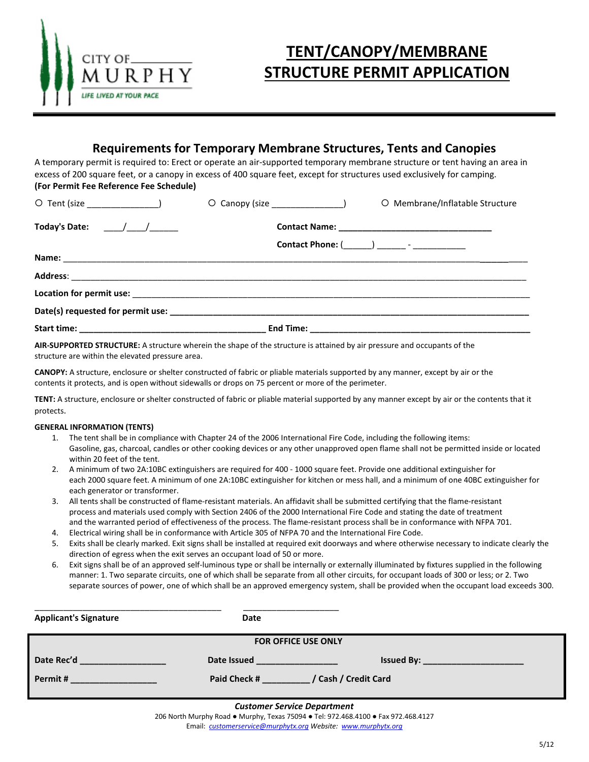

# **TENT/CANOPY/MEMBRANE STRUCTURE PERMIT APPLICATION**

## **Requirements for Temporary Membrane Structures, Tents and Canopies**

A temporary permit is required to: Erect or operate an air-supported temporary membrane structure or tent having an area in excess of 200 square feet, or a canopy in excess of 400 square feet, except for structures used exclusively for camping. **(For Permit Fee Reference Fee Schedule)**

| O Tent (size _______________)                                      | O Membrane/Inflatable Structure |
|--------------------------------------------------------------------|---------------------------------|
| Today's Date: $\frac{1}{\sqrt{1-\frac{1}{2}}}\sqrt{1-\frac{1}{2}}$ |                                 |
|                                                                    |                                 |
|                                                                    |                                 |
|                                                                    |                                 |
|                                                                    |                                 |
|                                                                    |                                 |
|                                                                    |                                 |

**AIR-SUPPORTED STRUCTURE:** A structure wherein the shape of the structure is attained by air pressure and occupants of the structure are within the elevated pressure area.

**CANOPY:** A structure, enclosure or shelter constructed of fabric or pliable materials supported by any manner, except by air or the contents it protects, and is open without sidewalls or drops on 75 percent or more of the perimeter.

**TENT:** A structure, enclosure or shelter constructed of fabric or pliable material supported by any manner except by air or the contents that it protects.

## **GENERAL INFORMATION (TENTS)**

- 1. The tent shall be in compliance with Chapter 24 of the 2006 International Fire Code, including the following items: Gasoline, gas, charcoal, candles or other cooking devices or any other unapproved open flame shall not be permitted inside or located within 20 feet of the tent.
- 2. A minimum of two 2A:10BC extinguishers are required for 400 1000 square feet. Provide one additional extinguisher for each 2000 square feet. A minimum of one 2A:10BC extinguisher for kitchen or mess hall, and a minimum of one 40BC extinguisher for each generator or transformer.
- 3. All tents shall be constructed of flame-resistant materials. An affidavit shall be submitted certifying that the flame-resistant process and materials used comply with Section 2406 of the 2000 International Fire Code and stating the date of treatment and the warranted period of effectiveness of the process. The flame-resistant process shall be in conformance with NFPA 701.
- 4. Electrical wiring shall be in conformance with Article 305 of NFPA 70 and the International Fire Code.
- 5. Exits shall be clearly marked. Exit signs shall be installed at required exit doorways and where otherwise necessary to indicate clearly the direction of egress when the exit serves an occupant load of 50 or more.
- 6. Exit signs shall be of an approved self-luminous type or shall be internally or externally illuminated by fixtures supplied in the following manner: 1. Two separate circuits, one of which shall be separate from all other circuits, for occupant loads of 300 or less; or 2. Two separate sources of power, one of which shall be an approved emergency system, shall be provided when the occupant load exceeds 300.

| <b>Applicant's Signature</b>                                                                                                    | Date         |                            |  |  |
|---------------------------------------------------------------------------------------------------------------------------------|--------------|----------------------------|--|--|
| <b>FOR OFFICE USE ONLY</b>                                                                                                      |              |                            |  |  |
| Date Rec'd                                                                                                                      | Date Issued  | the company of the company |  |  |
| Permit#<br><u> 1989 - Jan Sterling von Berger von Der Sterling von Berger von Der Sterling von Berger von Berger von Berger</u> | Paid Check # | / Cash / Credit Card       |  |  |

#### *Customer Service Department*

206 North Murphy Road ● Murphy, Texas 75094 ● Tel: 972.468.4100 ● Fax 972.468.4127 Email: *[customerservice@murphytx.org](mailto:customerservice@murphytx.org) Website: [www.murphytx.org](http://www.murphytx.org/)*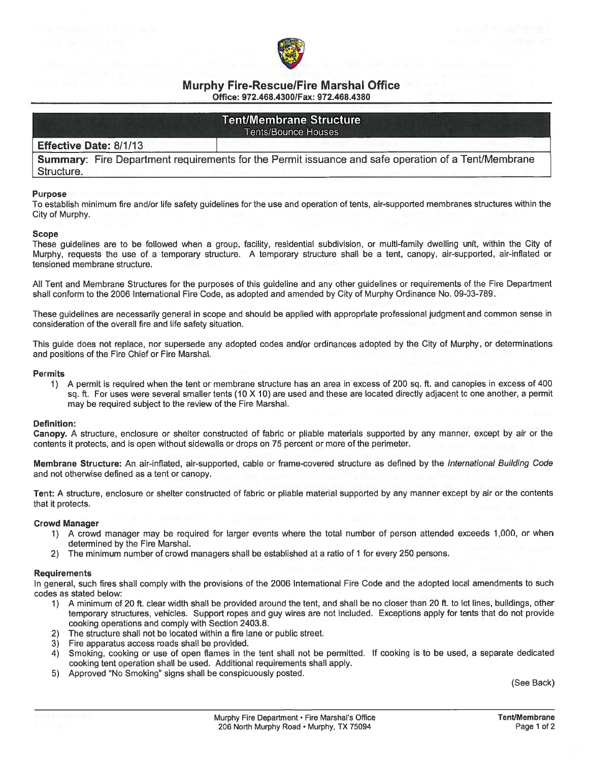

**Tent/Membrane Structure Tents/Bounce Houses** 

## **Effective Date: 8/1/13**

**Summary:** Fire Department requirements for the Permit issuance and safe operation of a Tent/Membrane Structure.

#### **Purpose**

To establish minimum fire and/or life safety quidelines for the use and operation of tents, air-supported membranes structures within the City of Murphy.

#### **Scope**

These quidelines are to be followed when a group, facility, residential subdivision, or multi-family dwelling unit, within the City of Murphy, requests the use of a temporary structure. A temporary structure shall be a tent, canopy, air-supported, air-inflated or tensioned membrane structure.

All Tent and Membrane Structures for the purposes of this guideline and any other guidelines or requirements of the Fire Department shall conform to the 2006 International Fire Code, as adopted and amended by City of Murphy Ordinance No. 09-03-789.

These quidelines are necessarily general in scope and should be applied with appropriate professional judgment and common sense in consideration of the overall fire and life safety situation.

This guide does not replace, nor supersede any adopted codes and/or ordinances adopted by the City of Murphy, or determinations and positions of the Fire Chief or Fire Marshal.

#### **Permits**

A permit is required when the tent or membrane structure has an area in excess of 200 sq. ft. and canopies in excess of 400  $1)$ sq. ft. For uses were several smaller tents (10 X 10) are used and these are located directly adiacent to one another, a permit may be required subject to the review of the Fire Marshal.

#### **Definition:**

Canopy. A structure, enclosure or shelter constructed of fabric or pliable materials supported by any manner, except by air or the contents it protects, and is open without sidewalls or drops on 75 percent or more of the perimeter.

Membrane Structure: An air-inflated, air-supported, cable or frame-covered structure as defined by the International Building Code and not otherwise defined as a tent or canopy.

Tent: A structure, enclosure or shelter constructed of fabric or pliable material supported by any manner except by air or the contents that it protects.

#### **Crowd Manager**

- 1) A crowd manager may be required for larger events where the total number of person attended exceeds 1,000, or when determined by the Fire Marshal.
- The minimum number of crowd managers shall be established at a ratio of 1 for every 250 persons.  $2)$

#### **Requirements**

In general, such fires shall comply with the provisions of the 2006 International Fire Code and the adopted local amendments to such codes as stated below:

- 1) A minimum of 20 ft. clear width shall be provided around the tent, and shall be no closer than 20 ft. to lot lines, buildings, other temporary structures, vehicles. Support ropes and guy wires are not included. Exceptions apply for tents that do not provide cooking operations and comply with Section 2403.8.
- The structure shall not be located within a fire lane or public street. 2)
- Fire apparatus access roads shall be provided. 3)
- Smoking, cooking or use of open flames in the tent shall not be permitted. If cooking is to be used, a separate dedicated 4) cooking tent operation shall be used. Additional requirements shall apply.
- 5) Approved "No Smoking" signs shall be conspicuously posted.

(See Back)